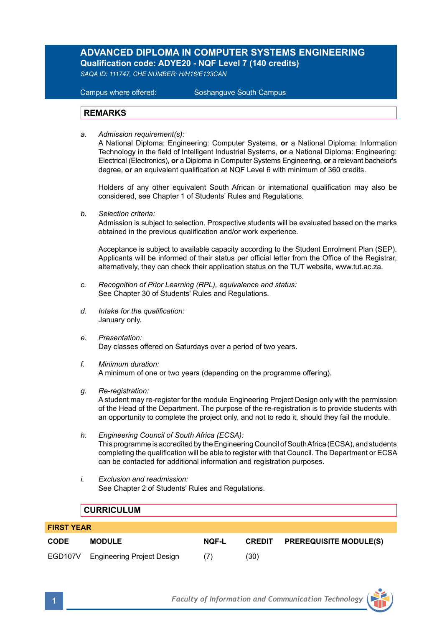# **ADVANCED DIPLOMA IN COMPUTER SYSTEMS ENGINEERING Qualification code: ADYE20 - NQF Level 7 (140 credits)**

*SAQA ID: 111747, CHE NUMBER: H/H16/E133CAN* 

**Campus where offered:** 

Soshanguve South Campus

### **REMARKS**

*a. Admission requirement(s):* 

A National Diploma: Engineering: Computer Systems, **or** a National Diploma: Information Technology in the field of Intelligent Industrial Systems, **or** a National Diploma: Engineering: Electrical (Electronics), **or** a Diploma in Computer Systems Engineering, **or** a relevant bachelor's degree, **or** an equivalent qualification at NQF Level 6 with minimum of 360 credits.

Holders of any other equivalent South African or international qualification may also be considered, see Chapter 1 of Students' Rules and Regulations.

*b. Selection criteria:*

Admission is subject to selection. Prospective students will be evaluated based on the marks obtained in the previous qualification and/or work experience.

Acceptance is subject to available capacity according to the Student Enrolment Plan (SEP). Applicants will be informed of their status per official letter from the Office of the Registrar, alternatively, they can check their application status on the TUT website, www.tut.ac.za.

- *c. Recognition of Prior Learning (RPL), equivalence and status:* See Chapter 30 of Students' Rules and Regulations.
- *d. Intake for the qualification:* January only.
- *e. Presentation:* Day classes offered on Saturdays over a period of two years.
- *f. Minimum duration:* A minimum of one or two years (depending on the programme offering).
- *g. Re-registration:*

A student may re-register for the module Engineering Project Design only with the permission of the Head of the Department. The purpose of the re-registration is to provide students with an opportunity to complete the project only, and not to redo it, should they fail the module.

- *h. Engineering Council of South Africa (ECSA):* This programme is accredited by the Engineering Council of South Africa (ECSA), and students completing the qualification will be able to register with that Council. The Department or ECSA can be contacted for additional information and registration purposes.
- *i. Exclusion and readmission:* See Chapter 2 of Students' Rules and Regulations.

# **CURRICULUM**

| <b>FIRST YEAR</b> |                                    |              |      |                                      |  |  |
|-------------------|------------------------------------|--------------|------|--------------------------------------|--|--|
| <b>CODE</b>       | <b>MODULE</b>                      | <b>NOF-L</b> |      | <b>CREDIT PREREQUISITE MODULE(S)</b> |  |  |
|                   | EGD107V Engineering Project Design |              | (30) |                                      |  |  |

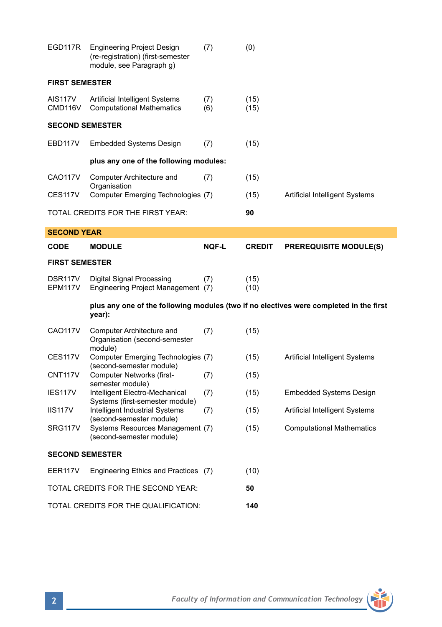| EGD117R                                                                                          | <b>Engineering Project Design</b><br>(re-registration) (first-semester<br>module, see Paragraph g) | (7)          | (0)           |                                |  |  |  |
|--------------------------------------------------------------------------------------------------|----------------------------------------------------------------------------------------------------|--------------|---------------|--------------------------------|--|--|--|
| <b>FIRST SEMESTER</b>                                                                            |                                                                                                    |              |               |                                |  |  |  |
| <b>AIS117V</b><br>CMD116V                                                                        | Artificial Intelligent Systems<br><b>Computational Mathematics</b>                                 | (7)<br>(6)   | (15)<br>(15)  |                                |  |  |  |
| <b>SECOND SEMESTER</b>                                                                           |                                                                                                    |              |               |                                |  |  |  |
| EBD117V                                                                                          | <b>Embedded Systems Design</b>                                                                     | (7)          | (15)          |                                |  |  |  |
|                                                                                                  | plus any one of the following modules:                                                             |              |               |                                |  |  |  |
| <b>CAO117V</b>                                                                                   | Computer Architecture and                                                                          | (7)          | (15)          |                                |  |  |  |
| CES117V                                                                                          | Organisation<br>Computer Emerging Technologies (7)                                                 |              | (15)          | Artificial Intelligent Systems |  |  |  |
|                                                                                                  | TOTAL CREDITS FOR THE FIRST YEAR:                                                                  |              | 90            |                                |  |  |  |
| <b>SECOND YEAR</b>                                                                               |                                                                                                    |              |               |                                |  |  |  |
| <b>CODE</b>                                                                                      | <b>MODULE</b>                                                                                      | <b>NOF-L</b> | <b>CREDIT</b> | <b>PREREQUISITE MODULE(S)</b>  |  |  |  |
| <b>FIRST SEMESTER</b>                                                                            |                                                                                                    |              |               |                                |  |  |  |
| DSR <sub>117V</sub><br>EPM117V                                                                   | Digital Signal Processing<br>Engineering Project Management (7)                                    | (7)          | (15)<br>(10)  |                                |  |  |  |
| plus any one of the following modules (two if no electives were completed in the first<br>year): |                                                                                                    |              |               |                                |  |  |  |
| <b>CAO117V</b>                                                                                   | Computer Architecture and<br>Organisation (second-semester                                         | (7)          | (15)          |                                |  |  |  |
| CES <sub>117V</sub>                                                                              | module)<br>Computer Emerging Technologies (7)                                                      |              | (15)          | Artificial Intelligent Systems |  |  |  |
| <b>CNT117V</b>                                                                                   | (second-semester module)<br>Computer Networks (first-                                              | (7)          | (15)          |                                |  |  |  |
| IES117V                                                                                          | semester module)<br>Intelligent Electro-Mechanical<br>Systems (first-semester module)              | (7)          | (15)          | <b>Embedded Systems Design</b> |  |  |  |
| <b>IIS117V</b>                                                                                   | Intelligent Industrial Systems                                                                     | (7)          | (15)          | Artificial Intelligent Systems |  |  |  |
| SRG117V                                                                                          | (second-semester module)<br>Systems Resources Management (7)<br>(second-semester module)           |              | (15)          | Computational Mathematics      |  |  |  |
| <b>SECOND SEMESTER</b>                                                                           |                                                                                                    |              |               |                                |  |  |  |
| EER <sub>117V</sub>                                                                              | Engineering Ethics and Practices (7)                                                               |              | (10)          |                                |  |  |  |
|                                                                                                  | TOTAL CREDITS FOR THE SECOND YEAR:                                                                 |              | 50            |                                |  |  |  |
|                                                                                                  | TOTAL CREDITS FOR THE QUALIFICATION:                                                               |              | 140           |                                |  |  |  |

۴ Ť

I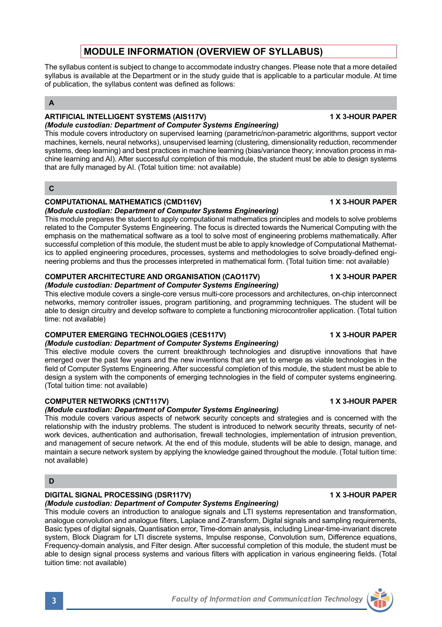# **MODULE INFORMATION (OVERVIEW OF SYLLABUS)**

The syllabus content is subject to change to accommodate industry changes. Please note that a more detailed syllabus is available at the Department or in the study guide that is applicable to a particular module. At time of publication, the syllabus content was defined as follows:

# **A**

# **ARTIFICIAL INTELLIGENT SYSTEMS (AIS117V) 1 X 3-HOUR PAPER**

*(Module custodian: Department of Computer Systems Engineering)* This module covers introductory on supervised learning (parametric/non-parametric algorithms, support vector machines, kernels, neural networks), unsupervised learning (clustering, dimensionality reduction, recommender systems, deep learning) and best practices in machine learning (bias/variance theory; innovation process in machine learning and AI). After successful completion of this module, the student must be able to design systems that are fully managed by AI. (Total tuition time: not available)

# **C**

# **COMPUTATIONAL MATHEMATICS (CMD116V) 1 X 3-HOUR PAPER**

### *(Module custodian: Department of Computer Systems Engineering)*

This module prepares the student to apply computational mathematics principles and models to solve problems related to the Computer Systems Engineering. The focus is directed towards the Numerical Computing with the emphasis on the mathematical software as a tool to solve most of engineering problems mathematically. After successful completion of this module, the student must be able to apply knowledge of Computational Mathematics to applied engineering procedures, processes, systems and methodologies to solve broadly-defined engineering problems and thus the processes interpreted in mathematical form. (Total tuition time: not available)

# **COMPUTER ARCHITECTURE AND ORGANISATION (CAO117V) 1 X 3-HOUR PAPER**

### *(Module custodian: Department of Computer Systems Engineering)*

This elective module covers a single-core versus multi-core processors and architectures, on-chip interconnect networks, memory controller issues, program partitioning, and programming techniques. The student will be able to design circuitry and develop software to complete a functioning microcontroller application. (Total tuition time: not available)

### **COMPUTER EMERGING TECHNOLOGIES (CES117V) 1 X 3-HOUR PAPER**

### *(Module custodian: Department of Computer Systems Engineering)*

This elective module covers the current breakthrough technologies and disruptive innovations that have emerged over the past few years and the new inventions that are yet to emerge as viable technologies in the field of Computer Systems Engineering. After successful completion of this module, the student must be able to design a system with the components of emerging technologies in the field of computer systems engineering. (Total tuition time: not available)

# **COMPUTER NETWORKS (CNT117V) 1 X 3-HOUR PAPER**

### *(Module custodian: Department of Computer Systems Engineering)*

This module covers various aspects of network security concepts and strategies and is concerned with the relationship with the industry problems. The student is introduced to network security threats, security of network devices, authentication and authorisation, firewall technologies, implementation of intrusion prevention, and management of secure network. At the end of this module, students will be able to design, manage, and maintain a secure network system by applying the knowledge gained throughout the module. (Total tuition time: not available)

### **D**

# **DIGITAL SIGNAL PROCESSING (DSR117V) 1 X 3-HOUR PAPER**

# *(Module custodian: Department of Computer Systems Engineering)*

This module covers an introduction to analogue signals and LTI systems representation and transformation, analogue convolution and analogue filters, Laplace and Z-transform, Digital signals and sampling requirements Basic types of digital signals, Quantisation error, Time-domain analysis, including Linear-time-invariant discrete system, Block Diagram for LTI discrete systems, Impulse response, Convolution sum, Difference equations, Frequency-domain analysis, and Filter design. After successful completion of this module, the student must be able to design signal process systems and various filters with application in various engineering fields. (Total tuition time: not available)